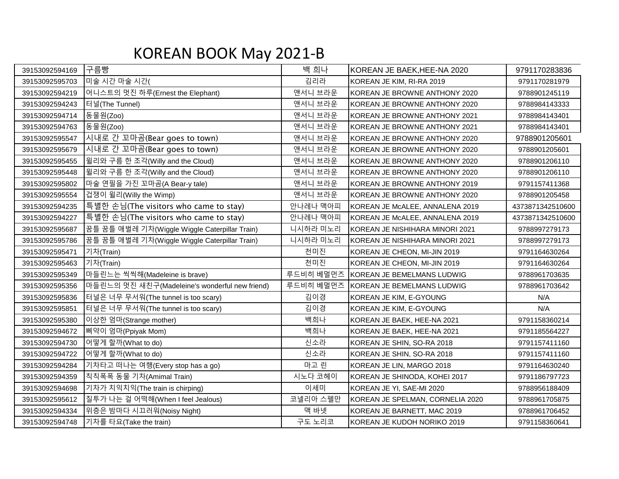## KOREAN BOOK May 2021-B

| 39153092594169 | 구름빵                                            | 백 희나      | KOREAN JE BAEK, HEE-NA 2020      | 9791170283836    |
|----------------|------------------------------------------------|-----------|----------------------------------|------------------|
| 39153092595703 | 미술 시간 마술 시간(                                   | 김리라       | KOREAN JE KIM, RI-RA 2019        | 9791170281979    |
| 39153092594219 | 어니스트의 멋진 하루(Ernest the Elephant)               | 앤서니 브라운   | KOREAN JE BROWNE ANTHONY 2020    | 9788901245119    |
| 39153092594243 | 터널(The Tunnel)                                 | 앤서니 브라운   | KOREAN JE BROWNE ANTHONY 2020    | 9788984143333    |
| 39153092594714 | 동물원(Zoo)                                       | 앤서니 브라운   | KOREAN JE BROWNE ANTHONY 2021    | 9788984143401    |
| 39153092594763 | 동물원(Zoo)                                       | 앤서니 브라운   | KOREAN JE BROWNE ANTHONY 2021    | 9788984143401    |
| 39153092595547 | 시내로 간 꼬마곰(Bear goes to town)                   | 앤서니 브라운   | KOREAN JE BROWNE ANTHONY 2020    | 9788901205601    |
| 39153092595679 | 시내로 간 꼬마곰(Bear goes to town)                   | 앤서니 브라운   | KOREAN JE BROWNE ANTHONY 2020    | 9788901205601    |
| 39153092595455 | 윌리와 구름 한 조각(Willy and the Cloud)               | 앤서니 브라운   | KOREAN JE BROWNE ANTHONY 2020    | 9788901206110    |
| 39153092595448 | 윌리와 구름 한 조각(Willy and the Cloud)               | 앤서니 브라운   | KOREAN JE BROWNE ANTHONY 2020    | 9788901206110    |
| 39153092595802 | 마술 연필을 가진 꼬마곰(A Bear-y tale)                   | 앤서니 브라운   | KOREAN JE BROWNE ANTHONY 2019    | 9791157411368    |
| 39153092595554 | 겁쟁이 윌리(Willy the Wimp)                         | 앤서니 브라운   | KOREAN JE BROWNE ANTHONY 2020    | 9788901205458    |
| 39153092594235 | 특별한 손님(The visitors who came to stay)          | 안나레나 맥아피  | KOREAN JE McALEE, ANNALENA 2019  | 4373871342510600 |
| 39153092594227 | 특별한 손님(The visitors who came to stay)          | 안나레나 맥아피  | KOREAN JE McALEE, ANNALENA 2019  | 4373871342510600 |
| 39153092595687 | 꿈틀 꿈틀 애벌레 기차(Wiggle Wiggle Caterpillar Train)  | 니시하라 미노리  | KOREAN JE NISHIHARA MINORI 2021  | 9788997279173    |
| 39153092595786 | 꿈틀 꿈틀 애벌레 기차(Wiggle Wiggle Caterpillar Train)  | 니시하라 미노리  | KOREAN JE NISHIHARA MINORI 2021  | 9788997279173    |
| 39153092595471 | 기차(Train)                                      | 천미진       | KOREAN JE CHEON, MI-JIN 2019     | 9791164630264    |
| 39153092595463 | 기차(Train)                                      | 천미진       | KOREAN JE CHEON, MI-JIN 2019     | 9791164630264    |
| 39153092595349 | 마들린느는 씩씩해(Madeleine is brave)                  | 루드비히 베멀먼즈 | KOREAN JE BEMELMANS LUDWIG       | 9788961703635    |
| 39153092595356 | 마들린느의 멋진 새친구(Madeleine's wonderful new friend) | 루드비히 베멀먼즈 | KOREAN JE BEMELMANS LUDWIG       | 9788961703642    |
| 39153092595836 | 터널은 너무 무서워(The tunnel is too scary)            | 김이경       | KOREAN JE KIM, E-GYOUNG          | N/A              |
| 39153092595851 | 터널은 너무 무서워(The tunnel is too scary)            | 김이경       | KOREAN JE KIM, E-GYOUNG          | N/A              |
| 39153092595380 | 이상한 엄마(Strange mother)                         | 백희나       | KOREAN JE BAEK, HEE-NA 2021      | 9791158360214    |
| 39153092594672 | 삐약이 엄마(Ppiyak Mom)                             | 백희나       | KOREAN JE BAEK, HEE-NA 2021      | 9791185564227    |
| 39153092594730 | 어떻게 할까(What to do)                             | 신소라       | KOREAN JE SHIN, SO-RA 2018       | 9791157411160    |
| 39153092594722 | 어떻게 할까(What to do)                             | 신소라       | KOREAN JE SHIN, SO-RA 2018       | 9791157411160    |
| 39153092594284 | 기차타고 떠나는 여행(Every stop has a go)               | 마고 린      | KOREAN JE LIN, MARGO 2018        | 9791164630240    |
| 39153092594359 | 칙칙폭폭 동물 기차(Amimal Train)                       | 시노다 코헤이   | KOREAN JE SHINODA, KOHEI 2017    | 9791186797723    |
| 39153092594698 | 기차가 치익치익(The train is chirping)                | 이세미       | KOREAN JE YI, SAE-MI 2020        | 9788956188409    |
| 39153092595612 | 질투가 나는 걸 어떡해(When I feel Jealous)              | 코넬리아 스펠만  | KOREAN JE SPELMAN, CORNELIA 2020 | 9788961705875    |
| 39153092594334 | 위층은 밤마다 시끄러워(Noisy Night)                      | 맥 바넷      | KOREAN JE BARNETT, MAC 2019      | 9788961706452    |
| 39153092594748 | 기차를 타요(Take the train)                         | 구도 노리코    | KOREAN JE KUDOH NORIKO 2019      | 9791158360641    |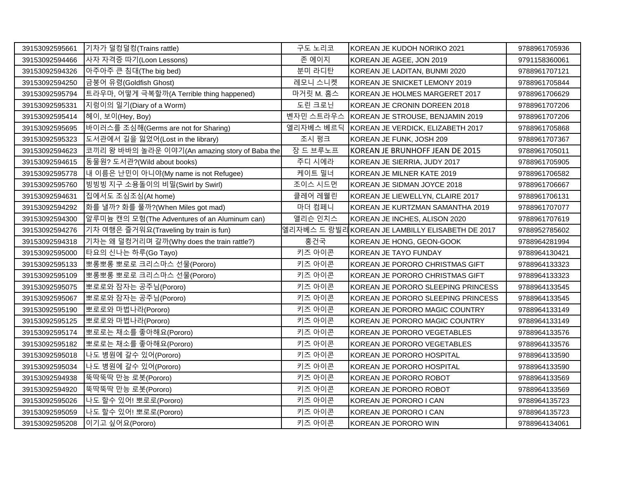| 39153092595661 | 기차가 덜컹덜컹(Trains rattle)                        | 구도 노리코    | KOREAN JE KUDOH NORIKO 2021                     | 9788961705936 |
|----------------|------------------------------------------------|-----------|-------------------------------------------------|---------------|
| 39153092594466 | 사자 자격증 따기(Loon Lessons)                        | 존 에이지     | KOREAN JE AGEE, JON 2019                        | 9791158360061 |
| 39153092594326 | 아주아주 큰 침대(The big bed)                         | 분미 라디탄    | KOREAN JE LADITAN, BUNMI 2020                   | 9788961707121 |
| 39153092594250 | 금붕어 유령(Goldfish Ghost)                         | 레모니 스니켓   | KOREAN JE SNICKET LEMONY 2019                   | 9788961705844 |
| 39153092595794 | 트라우마, 어떻게 극복할까(A Terrible thing happened)      | 마거릿 M. 홈스 | KOREAN JE HOLMES MARGERET 2017                  | 9788961706629 |
| 39153092595331 | 지렁이의 일기(Diary of a Worm)                       | 도린 크로닌    | KOREAN JE CRONIN DOREEN 2018                    | 9788961707206 |
| 39153092595414 | 헤이, 보이(Hey, Boy)                               | 벤자민 스트라우스 | KOREAN JE STROUSE, BENJAMIN 2019                | 9788961707206 |
| 39153092595695 | 바이러스를 조심해(Germs are not for Sharing)           |           | 엘리자베스 베르딕 KOREAN JE VERDICK, ELIZABETH 2017     | 9788961705868 |
| 39153092595323 | 도서관에서 길을 잃었어(Lost in the library)              | 조시 펑크     | KOREAN JE FUNK, JOSH 209                        | 9788961707367 |
| 39153092594623 | 코끼리 왕 바바의 놀라운 이야기(An amazing story of Baba the | 장 드 브루노프  | KOREAN JE BRUNHOFF JEAN DE 2015                 | 9788961705011 |
| 39153092594615 | 동물원? 도서관?(Wild about books)                    | 주디 시에라    | KOREAN JE SIERRIA, JUDY 2017                    | 9788961705905 |
| 39153092595778 | 내 이름은 난민이 아니야(My name is not Refugee)          | 케이트 밀너    | KOREAN JE MILNER KATE 2019                      | 9788961706582 |
| 39153092595760 | 빙빙빙 지구 소용돌이의 비밀(Swirl by Swirl)                | 조이스 시드먼   | KOREAN JE SIDMAN JOYCE 2018                     | 9788961706667 |
| 39153092594631 | 집에서도 조심조심(At home)                             | 클레어 레웰린   | KOREAN JE LIEWELLYN, CLAIRE 2017                | 9788961706131 |
| 39153092594292 | 화를 낼까? 화를 풀까?(When Miles got mad)              | 마더 컴페니    | KOREAN JE KURTZMAN SAMANTHA 2019                | 9788961707077 |
| 39153092594300 | 일루미늄 캔의 모험(The Adventures of an Aluminum can)  | 앨리슨 인치스   | KOREAN JE INCHES, ALISON 2020                   | 9788961707619 |
| 39153092594276 | 기차 여행은 즐거워요(Traveling by train is fun)         |           | 엘리자베스 드 랑빌리KOREAN JE LAMBILLY ELISABETH DE 2017 | 9788952785602 |
| 39153092594318 | 기차는 왜 덜컹거리며 갈까(Why does the train rattle?)     | 홍건국       | KOREAN JE HONG, GEON-GOOK                       | 9788964281994 |
| 39153092595000 | 타요의 신나는 하루(Go Tayo)                            | 키즈 아이콘    | KOREAN JE TAYO FUNDAY                           | 9788964130421 |
| 39153092595133 | 뽀롱뽀롱 뽀로로 크리스마스 선물(Pororo)                      | 키즈 아이콘    | KOREAN JE PORORO CHRISTMAS GIFT                 | 9788964133323 |
| 39153092595109 | 뽀롱뽀롱 뽀로로 크리스마스 선물(Pororo)                      | 키즈 아이콘    | KOREAN JE PORORO CHRISTMAS GIFT                 | 9788964133323 |
| 39153092595075 | 뽀로로와 잠자는 공주님(Pororo)                           | 키즈 아이콘    | KOREAN JE PORORO SLEEPING PRINCESS              | 9788964133545 |
| 39153092595067 | 뽀로로와 잠자는 공주님(Pororo)                           | 키즈 아이콘    | KOREAN JE PORORO SLEEPING PRINCESS              | 9788964133545 |
| 39153092595190 | 뽀로로와 마법나라(Pororo)                              | 키즈 아이콘    | KOREAN JE PORORO MAGIC COUNTRY                  | 9788964133149 |
| 39153092595125 | 뽀로로와 마법나라(Pororo)                              | 키즈 아이콘    | KOREAN JE PORORO MAGIC COUNTRY                  | 9788964133149 |
| 39153092595174 | 뽀로로는 채소를 좋아해요(Pororo)                          | 키즈 아이콘    | KOREAN JE PORORO VEGETABLES                     | 9788964133576 |
| 39153092595182 | 뽀로로는 채소를 좋아해요(Pororo)                          | 키즈 아이콘    | KOREAN JE PORORO VEGETABLES                     | 9788964133576 |
| 39153092595018 | 나도 병원에 갈수 있어(Pororo)                           | 키즈 아이콘    | KOREAN JE PORORO HOSPITAL                       | 9788964133590 |
| 39153092595034 | 나도 병원에 갈수 있어(Pororo)                           | 키즈 아이콘    | KOREAN JE PORORO HOSPITAL                       | 9788964133590 |
| 39153092594938 | 똑딱뚝딱 만능 로봇(Pororo)                             | 키즈 아이콘    | KOREAN JE PORORO ROBOT                          | 9788964133569 |
| 39153092594920 | 뚝딱뚝딱 만능 로봇(Pororo)                             | 키즈 아이콘    | KOREAN JE PORORO ROBOT                          | 9788964133569 |
| 39153092595026 | 나도 할수 있어! 뽀로로(Pororo)                          | 키즈 아이콘    | KOREAN JE PORORO I CAN                          | 9788964135723 |
| 39153092595059 | 나도 할수 있어! 뽀로로(Pororo)                          | 키즈 아이콘    | KOREAN JE PORORO I CAN                          | 9788964135723 |
| 39153092595208 | 이기고 싶어요(Pororo)                                | 키즈 아이콘    | KOREAN JE PORORO WIN                            | 9788964134061 |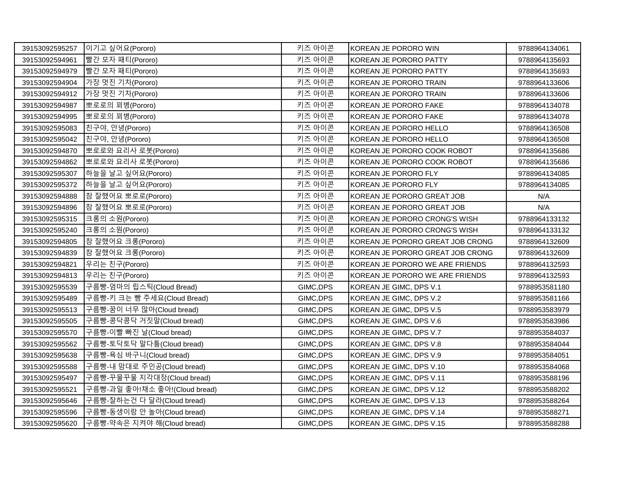| 39153092595257 | 이기고 싶어요(Pororo)               | 키즈 아이콘    | KOREAN JE PORORO WIN             | 9788964134061 |
|----------------|-------------------------------|-----------|----------------------------------|---------------|
| 39153092594961 | 빨간 모자 패티(Pororo)              | 키즈 아이콘    | KOREAN JE PORORO PATTY           | 9788964135693 |
| 39153092594979 | 빨간 모자 패티(Pororo)              | 키즈 아이콘    | KOREAN JE PORORO PATTY           | 9788964135693 |
| 39153092594904 | 가장 멋진 기차(Pororo)              | 키즈 아이콘    | KOREAN JE PORORO TRAIN           | 9788964133606 |
| 39153092594912 | 가장 멋진 기차(Pororo)              | 키즈 아이콘    | KOREAN JE PORORO TRAIN           | 9788964133606 |
| 39153092594987 | 뽀로로의 꾀병(Pororo)               | 키즈 아이콘    | KOREAN JE PORORO FAKE            | 9788964134078 |
| 39153092594995 | 뽀로로의 꾀병(Pororo)               | 키즈 아이콘    | KOREAN JE PORORO FAKE            | 9788964134078 |
| 39153092595083 | 친구야, 안녕(Pororo)               | 키즈 아이콘    | KOREAN JE PORORO HELLO           | 9788964136508 |
| 39153092595042 | 친구야, 안녕(Pororo)               | 키즈 아이콘    | KOREAN JE PORORO HELLO           | 9788964136508 |
| 39153092594870 | 뽀로로와 요리사 로봇(Pororo)           | 키즈 아이콘    | KOREAN JE PORORO COOK ROBOT      | 9788964135686 |
| 39153092594862 | 뽀로로와 요리사 로봇(Pororo)           | 키즈 아이콘    | KOREAN JE PORORO COOK ROBOT      | 9788964135686 |
| 39153092595307 | 하늘을 날고 싶어요(Pororo)            | 키즈 아이콘    | KOREAN JE PORORO FLY             | 9788964134085 |
| 39153092595372 | 하늘을 날고 싶어요(Pororo)            | 키즈 아이콘    | KOREAN JE PORORO FLY             | 9788964134085 |
| 39153092594888 | │참 잘했어요 뽀로로(Pororo)           | 키즈 아이콘    | KOREAN JE PORORO GREAT JOB       | N/A           |
| 39153092594896 | │참 잘했어요 뽀로로(Pororo)           | 키즈 아이콘    | KOREAN JE PORORO GREAT JOB       | N/A           |
| 39153092595315 | 크롱의 소원(Pororo)                | 키즈 아이콘    | KOREAN JE PORORO CRONG'S WISH    | 9788964133132 |
| 39153092595240 | 크롱의 소원(Pororo)                | 키즈 아이콘    | KOREAN JE PORORO CRONG'S WISH    | 9788964133132 |
| 39153092594805 | │참 잘했어요 크롱(Pororo)            | 키즈 아이콘    | KOREAN JE PORORO GREAT JOB CRONG | 9788964132609 |
| 39153092594839 | 참 잘했어요 크롱(Pororo)             | 키즈 아이콘    | KOREAN JE PORORO GREAT JOB CRONG | 9788964132609 |
| 39153092594821 | 우리는 친구(Pororo)                | 키즈 아이콘    | KOREAN JE PORORO WE ARE FRIENDS  | 9788964132593 |
| 39153092594813 | 우리는 친구(Pororo)                | 키즈 아이콘    | KOREAN JE PORORO WE ARE FRIENDS  | 9788964132593 |
| 39153092595539 | 구름빵-엄마의 립스틱(Cloud Bread)      | GIMC, DPS | KOREAN JE GIMC, DPS V.1          | 9788953581180 |
| 39153092595489 | 구름빵-키 크는 빵 주세요(Cloud Bread)   | GIMC, DPS | KOREAN JE GIMC, DPS V.2          | 9788953581166 |
| 39153092595513 | 구름빵-꿈이 너무 많아(Cloud bread)     | GIMC, DPS | KOREAN JE GIMC, DPS V.5          | 9788953583979 |
| 39153092595505 | 구름빵-콩닥콩닥 거짓말(Cloud bread)     | GIMC, DPS | KOREAN JE GIMC, DPS V.6          | 9788953583986 |
| 39153092595570 | 구름빵-이빨 빠진 날(Cloud bread)      | GIMC, DPS | KOREAN JE GIMC, DPS V.7          | 9788953584037 |
| 39153092595562 | 구름빵-토닥토닥 말다툼(Cloud bread)     | GIMC, DPS | KOREAN JE GIMC, DPS V.8          | 9788953584044 |
| 39153092595638 | 구름빵-욕심 바구니(Cloud bread)       | GIMC, DPS | KOREAN JE GIMC, DPS V.9          | 9788953584051 |
| 39153092595588 | 구름빵-내 맘대로 주인공(Cloud bread)    | GIMC, DPS | KOREAN JE GIMC, DPS V.10         | 9788953584068 |
| 39153092595497 | 구름빵-꾸물꾸물 지각대장(Cloud bread)    | GIMC, DPS | KOREAN JE GIMC, DPS V.11         | 9788953588196 |
| 39153092595521 | 구름빵-과일 좋아!채소 좋아!(Cloud bread) | GIMC, DPS | KOREAN JE GIMC, DPS V.12         | 9788953588202 |
| 39153092595646 | 구름빵-잘하는건 다 달라(Cloud bread)    | GIMC, DPS | KOREAN JE GIMC, DPS V.13         | 9788953588264 |
| 39153092595596 | 구름빵-동생이랑 안 놀아(Cloud bread)    | GIMC, DPS | KOREAN JE GIMC, DPS V.14         | 9788953588271 |
| 39153092595620 | 구름빵-약속은 지켜야 해(Cloud bread)    | GIMC, DPS | KOREAN JE GIMC, DPS V.15         | 9788953588288 |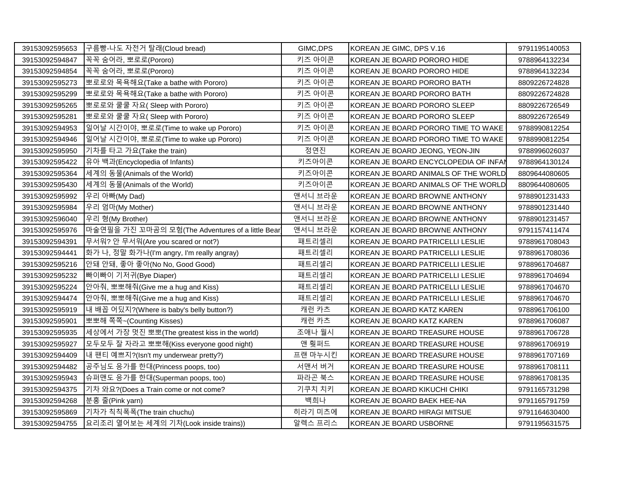| 39153092595653 | 구름빵-나도 자전거 탈래(Cloud bread)                       | GIMC, DPS | KOREAN JE GIMC, DPS V.16              | 9791195140053 |
|----------------|--------------------------------------------------|-----------|---------------------------------------|---------------|
| 39153092594847 | 꼭꼭 숨어라, 뽀로로(Pororo)                              | 키즈 아이콘    | KOREAN JE BOARD PORORO HIDE           | 9788964132234 |
| 39153092594854 | 꼭꼭 숨어라, 뽀로로(Pororo)                              | 키즈 아이콘    | KOREAN JE BOARD PORORO HIDE           | 9788964132234 |
| 39153092595273 | 뽀로로와 목욕해요(Take a bathe with Pororo)              | 키즈 아이콘    | KOREAN JE BOARD PORORO BATH           | 8809226724828 |
| 39153092595299 | 뽀로로와 목욕해요(Take a bathe with Pororo)              | 키즈 아이콘    | KOREAN JE BOARD PORORO BATH           | 8809226724828 |
| 39153092595265 | 뽀로로와 쿨쿨 자요( Sleep with Pororo)                   | 키즈 아이콘    | KOREAN JE BOARD PORORO SLEEP          | 8809226726549 |
| 39153092595281 | 뽀로로와 쿨쿨 자요( Sleep with Pororo)                   | 키즈 아이콘    | KOREAN JE BOARD PORORO SLEEP          | 8809226726549 |
| 39153092594953 | 일어날 시간이야, 뽀로로(Time to wake up Pororo)            | 키즈 아이콘    | KOREAN JE BOARD PORORO TIME TO WAKE   | 9788990812254 |
| 39153092594946 | 일어날 시간이야, 뽀로로(Time to wake up Pororo)            | 키즈 아이콘    | KOREAN JE BOARD PORORO TIME TO WAKE   | 9788990812254 |
| 39153092595950 | 기차를 타고 가요(Take the train)                        | 정연진       | KOREAN JE BOARD JEONG, YEON-JIN       | 9788996026037 |
| 39153092595422 | 유아 백과(Encyclopedia of Infants)                   | 키즈아이콘     | KOREAN JE BOARD ENCYCLOPEDIA OF INFAN | 9788964130124 |
| 39153092595364 | 세계의 동물(Animals of the World)                     | 키즈아이콘     | KOREAN JE BOARD ANIMALS OF THE WORLD  | 8809644080605 |
| 39153092595430 | 세계의 동물(Animals of the World)                     | 키즈아이콘     | KOREAN JE BOARD ANIMALS OF THE WORLD  | 8809644080605 |
| 39153092595992 | 우리 아빠(My Dad)                                    | 앤서니 브라운   | KOREAN JE BOARD BROWNE ANTHONY        | 9788901231433 |
| 39153092595984 | 우리 엄마(My Mother)                                 | 앤서니 브라운   | KOREAN JE BOARD BROWNE ANTHONY        | 9788901231440 |
| 39153092596040 | 우리 형(My Brother)                                 | 앤서니 브라운   | KOREAN JE BOARD BROWNE ANTHONY        | 9788901231457 |
| 39153092595976 | 마술연필을 가진 꼬마곰의 모험(The Adventures of a little Bear | 앤서니 브라운   | KOREAN JE BOARD BROWNE ANTHONY        | 9791157411474 |
| 39153092594391 | 무서워? 안 무서워(Are you scared or not?)               | 패트리셀리     | KOREAN JE BOARD PATRICELLI LESLIE     | 9788961708043 |
| 39153092594441 | 화가 나, 정말 화가나(I'm angry, I'm really angray)       | 패트리셀리     | KOREAN JE BOARD PATRICELLI LESLIE     | 9788961708036 |
| 39153092595216 | 안돼 안돼, 좋아 좋아(No No, Good Good)                   | 패트리셀리     | KOREAN JE BOARD PATRICELLI LESLIE     | 9788961704687 |
| 39153092595232 | 빠이빠이 기저귀(Bye Diaper)                             | 패트리셀리     | KOREAN JE BOARD PATRICELLI LESLIE     | 9788961704694 |
| 39153092595224 | 안아줘, 뽀뽀해줘(Give me a hug and Kiss)                | 패트리셀리     | KOREAN JE BOARD PATRICELLI LESLIE     | 9788961704670 |
| 39153092594474 | 안아줘, 뽀뽀해줘(Give me a hug and Kiss)                | 패트리셀리     | KOREAN JE BOARD PATRICELLI LESLIE     | 9788961704670 |
| 39153092595919 | 내 배꼽 어딨지?(Where is baby's belly button?)         | 캐런 카츠     | KOREAN JE BOARD KATZ KAREN            | 9788961706100 |
| 39153092595901 | 뽀뽀해 쪽쪽~(Counting Kisses)                         | 캐런 카츠     | KOREAN JE BOARD KATZ KAREN            | 9788961706087 |
| 39153092595935 | 세상에서 가장 멋진 뽀뽀(The greatest kiss in the world)    | 조애나 월시    | KOREAN JE BOARD TREASURE HOUSE        | 9788961706728 |
| 39153092595927 | 모두모두 잘 자라고 뽀뽀해(Kiss everyone good night)         | 앤 훳퍼드     | KOREAN JE BOARD TREASURE HOUSE        | 9788961706919 |
| 39153092594409 | 내 팬티 예쁘지?(Isn't my underwear pretty?)            | 프랜 마누시킨   | KOREAN JE BOARD TREASURE HOUSE        | 9788961707169 |
| 39153092594482 | 공주님도 응가를 한대(Princess poops, too)                 | 서맨서 버거    | IKOREAN JE BOARD TREASURE HOUSE       | 9788961708111 |
| 39153092595943 | 슈퍼맨도 응가를 한대(Superman poops, too)                 | 파라곤 북스    | KOREAN JE BOARD TREASURE HOUSE        | 9788961708135 |
| 39153092594375 | 기차 와요?(Does a Train come or not come?            | 기쿠치 치키    | KOREAN JE BOARD KIKUCHI CHIKI         | 9791165731298 |
| 39153092594268 | 분홍 줄(Pink yarn)                                  | 백희나       | KOREAN JE BOARD BAEK HEE-NA           | 9791165791759 |
| 39153092595869 | 기차가 칙칙폭폭(The train chuchu)                       | 히라기 미츠에   | KOREAN JE BOARD HIRAGI MITSUE         | 9791164630400 |
| 39153092594755 | 요리조리 열어보는 세계의 기차(Look inside trains))            | 알렉스 프리스   | KOREAN JE BOARD USBORNE               | 9791195631575 |